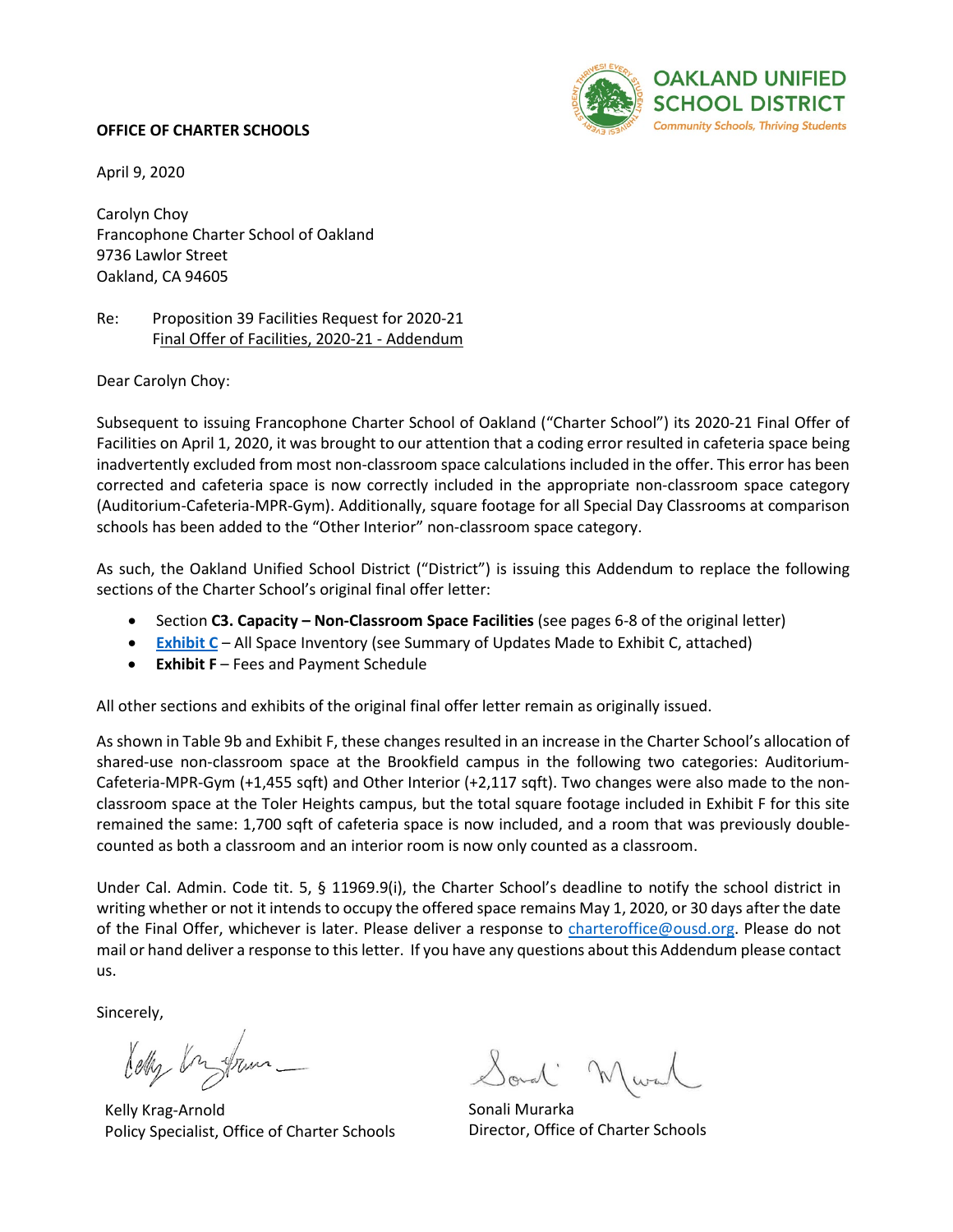### **OFFICE OF CHARTER SCHOOLS**



April 9, 2020

Carolyn Choy Francophone Charter School of Oakland 9736 Lawlor Street Oakland, CA 94605

# Re: Proposition 39 Facilities Request for 2020-21 Final Offer of Facilities, 2020-21 - Addendum

Dear Carolyn Choy:

Subsequent to issuing Francophone Charter School of Oakland ("Charter School") its 2020-21 Final Offer of Facilities on April 1, 2020, it was brought to our attention that a coding error resulted in cafeteria space being inadvertently excluded from most non-classroom space calculations included in the offer. This error has been corrected and cafeteria space is now correctly included in the appropriate non-classroom space category (Auditorium-Cafeteria-MPR-Gym). Additionally, square footage for all Special Day Classrooms at comparison schools has been added to the "Other Interior" non-classroom space category.

As such, the Oakland Unified School District ("District") is issuing this Addendum to replace the following sections of the Charter School's original final offer letter:

- Section **C3. Capacity – Non-Classroom Space Facilities** (see pages 6-8 of the original letter)
- **[Exhibit C](https://www.ousdcharters.net/20-21-final-offer-data-exhibits.html)** All Space Inventory (see Summary of Updates Made to Exhibit C, attached)
- **Exhibit F** Fees and Payment Schedule

All other sections and exhibits of the original final offer letter remain as originally issued.

As shown in Table 9b and Exhibit F, these changes resulted in an increase in the Charter School's allocation of shared-use non-classroom space at the Brookfield campus in the following two categories: Auditorium-Cafeteria-MPR-Gym (+1,455 sqft) and Other Interior (+2,117 sqft). Two changes were also made to the nonclassroom space at the Toler Heights campus, but the total square footage included in Exhibit F for this site remained the same: 1,700 sqft of cafeteria space is now included, and a room that was previously doublecounted as both a classroom and an interior room is now only counted as a classroom.

Under Cal. Admin. Code tit. 5, § 11969.9(i), the Charter School's deadline to notify the school district in writing whether or not it intends to occupy the offered space remains May 1, 2020, or 30 days after the date of the Final Offer, whichever is later. Please deliver a response to [charteroffice@ousd.org.](mailto:charteroffice@ousd.org) Please do not mail or hand deliver a response to this letter. If you have any questions about this Addendum please contact us.

Sincerely,

lety by fram -

Kelly Krag-Arnold Policy Specialist, Office of Charter Schools

onal M

Sonali Murarka Director, Office of Charter Schools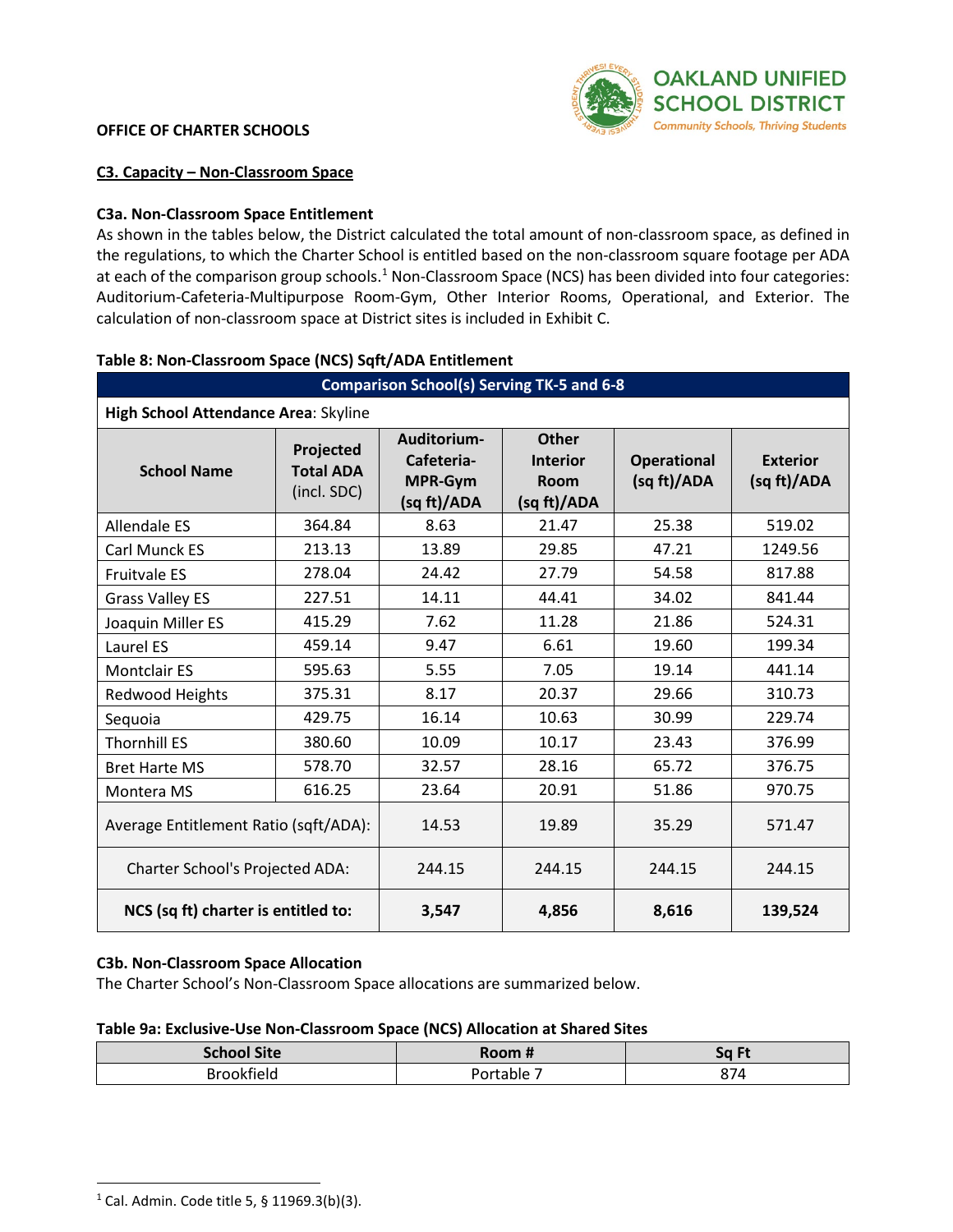# **OFFICE OF CHARTER SCHOOLS**



#### **C3. Capacity – Non-Classroom Space**

# **C3a. Non-Classroom Space Entitlement**

As shown in the tables below, the District calculated the total amount of non-classroom space, as defined in the regulations, to which the Charter School is entitled based on the non-classroom square footage per ADA at each of the comparison group schools.<sup>[1](#page-1-0)</sup> Non-Classroom Space (NCS) has been divided into four categories: Auditorium-Cafeteria-Multipurpose Room-Gym, Other Interior Rooms, Operational, and Exterior. The calculation of non-classroom space at District sites is included in [Exhibit C](http://www.ousdcharters.net/proposition-39.html).

| <b>Comparison School(s) Serving TK-5 and 6-8</b> |                                              |                                                     |                                                               |                                   |                                |
|--------------------------------------------------|----------------------------------------------|-----------------------------------------------------|---------------------------------------------------------------|-----------------------------------|--------------------------------|
| High School Attendance Area: Skyline             |                                              |                                                     |                                                               |                                   |                                |
| <b>School Name</b>                               | Projected<br><b>Total ADA</b><br>(incl. SDC) | Auditorium-<br>Cafeteria-<br>MPR-Gym<br>(sq ft)/ADA | <b>Other</b><br><b>Interior</b><br><b>Room</b><br>(sq ft)/ADA | <b>Operational</b><br>(sq ft)/ADA | <b>Exterior</b><br>(sq ft)/ADA |
| <b>Allendale ES</b>                              | 364.84                                       | 8.63                                                | 21.47                                                         | 25.38                             | 519.02                         |
| Carl Munck ES                                    | 213.13                                       | 13.89                                               | 29.85                                                         | 47.21                             | 1249.56                        |
| <b>Fruitvale ES</b>                              | 278.04                                       | 24.42                                               | 27.79                                                         | 54.58                             | 817.88                         |
| <b>Grass Valley ES</b>                           | 227.51                                       | 14.11                                               | 44.41                                                         | 34.02                             | 841.44                         |
| Joaquin Miller ES                                | 415.29                                       | 7.62                                                | 11.28                                                         | 21.86                             | 524.31                         |
| Laurel ES                                        | 459.14                                       | 9.47                                                | 6.61                                                          | 19.60                             | 199.34                         |
| <b>Montclair ES</b>                              | 595.63                                       | 5.55                                                | 7.05                                                          | 19.14                             | 441.14                         |
| Redwood Heights                                  | 375.31                                       | 8.17                                                | 20.37                                                         | 29.66                             | 310.73                         |
| Sequoia                                          | 429.75                                       | 16.14                                               | 10.63                                                         | 30.99                             | 229.74                         |
| <b>Thornhill ES</b>                              | 380.60                                       | 10.09                                               | 10.17                                                         | 23.43                             | 376.99                         |
| <b>Bret Harte MS</b>                             | 578.70                                       | 32.57                                               | 28.16                                                         | 65.72                             | 376.75                         |
| Montera MS                                       | 616.25                                       | 23.64                                               | 20.91                                                         | 51.86                             | 970.75                         |
| Average Entitlement Ratio (sqft/ADA):            |                                              | 14.53                                               | 19.89                                                         | 35.29                             | 571.47                         |
| Charter School's Projected ADA:                  |                                              | 244.15                                              | 244.15                                                        | 244.15                            | 244.15                         |
| NCS (sq ft) charter is entitled to:              |                                              | 3,547                                               | 4,856                                                         | 8,616                             | 139,524                        |

#### **Table 8: Non-Classroom Space (NCS) Sqft/ADA Entitlement**

#### **C3b. Non-Classroom Space Allocation**

The Charter School's Non-Classroom Space allocations are summarized below.

#### **Table 9a: Exclusive-Use Non-Classroom Space (NCS) Allocation at Shared Sites**

| <b>School Site</b> | Room. | Sn Fi<br>◡ |
|--------------------|-------|------------|
| tielo.             | `hle. | 874        |

<span id="page-1-0"></span> $1$  Cal. Admin. Code title 5, § 11969.3(b)(3).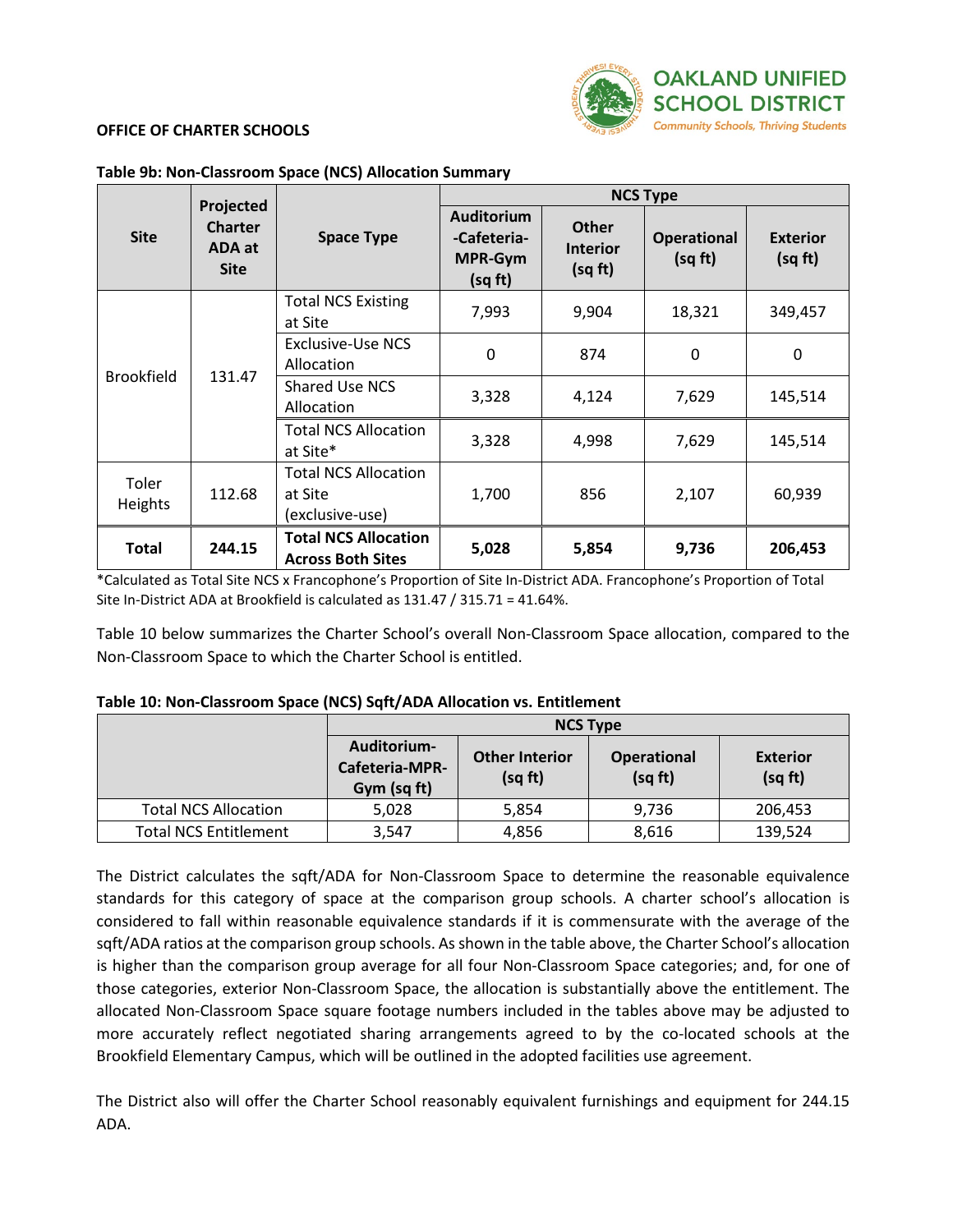

# **OFFICE OF CHARTER SCHOOLS**

|                   |                                                      |                                                           | <b>NCS Type</b>                                        |                                            |                               |                            |
|-------------------|------------------------------------------------------|-----------------------------------------------------------|--------------------------------------------------------|--------------------------------------------|-------------------------------|----------------------------|
| <b>Site</b>       | Projected<br><b>Charter</b><br>ADA at<br><b>Site</b> | <b>Space Type</b>                                         | Auditorium<br>-Cafeteria-<br><b>MPR-Gym</b><br>(sq ft) | <b>Other</b><br><b>Interior</b><br>(sq ft) | <b>Operational</b><br>(sq ft) | <b>Exterior</b><br>(sq ft) |
| <b>Brookfield</b> |                                                      | <b>Total NCS Existing</b><br>at Site                      | 7,993                                                  | 9,904                                      | 18,321                        | 349,457                    |
|                   | 131.47                                               | <b>Exclusive-Use NCS</b><br>Allocation                    | 0                                                      | 874                                        | 0                             | 0                          |
|                   |                                                      | <b>Shared Use NCS</b><br>Allocation                       | 3,328                                                  | 4,124                                      | 7,629                         | 145,514                    |
|                   |                                                      | <b>Total NCS Allocation</b><br>at Site*                   | 3,328                                                  | 4,998                                      | 7,629                         | 145,514                    |
| Toler<br>Heights  | 112.68                                               | <b>Total NCS Allocation</b><br>at Site<br>(exclusive-use) | 1,700                                                  | 856                                        | 2,107                         | 60,939                     |
| <b>Total</b>      | 244.15                                               | <b>Total NCS Allocation</b><br><b>Across Both Sites</b>   | 5,028                                                  | 5,854                                      | 9,736                         | 206,453                    |

#### **Table 9b: Non-Classroom Space (NCS) Allocation Summary**

\*Calculated as Total Site NCS x Francophone's Proportion of Site In-District ADA. Francophone's Proportion of Total Site In-District ADA at Brookfield is calculated as 131.47 / 315.71 = 41.64%.

Table 10 below summarizes the Charter School's overall Non-Classroom Space allocation, compared to the Non-Classroom Space to which the Charter School is entitled.

#### **Table 10: Non-Classroom Space (NCS) Sqft/ADA Allocation vs. Entitlement**

|                              | <b>NCS Type</b>                              |                                  |                               |                            |
|------------------------------|----------------------------------------------|----------------------------------|-------------------------------|----------------------------|
|                              | Auditorium-<br>Cafeteria-MPR-<br>Gym (sq ft) | <b>Other Interior</b><br>(sq ft) | <b>Operational</b><br>(sq ft) | <b>Exterior</b><br>(sq ft) |
| <b>Total NCS Allocation</b>  | 5,028                                        | 5,854                            | 9,736                         | 206,453                    |
| <b>Total NCS Entitlement</b> | 3,547                                        | 4,856                            | 8,616                         | 139,524                    |

The District calculates the sqft/ADA for Non-Classroom Space to determine the reasonable equivalence standards for this category of space at the comparison group schools. A charter school's allocation is considered to fall within reasonable equivalence standards if it is commensurate with the average of the sqft/ADA ratios at the comparison group schools. As shown in the table above, the Charter School's allocation is higher than the comparison group average for all four Non-Classroom Space categories; and, for one of those categories, exterior Non-Classroom Space, the allocation is substantially above the entitlement. The allocated Non-Classroom Space square footage numbers included in the tables above may be adjusted to more accurately reflect negotiated sharing arrangements agreed to by the co-located schools at the Brookfield Elementary Campus, which will be outlined in the adopted facilities use agreement.

The District also will offer the Charter School reasonably equivalent furnishings and equipment for 244.15 ADA.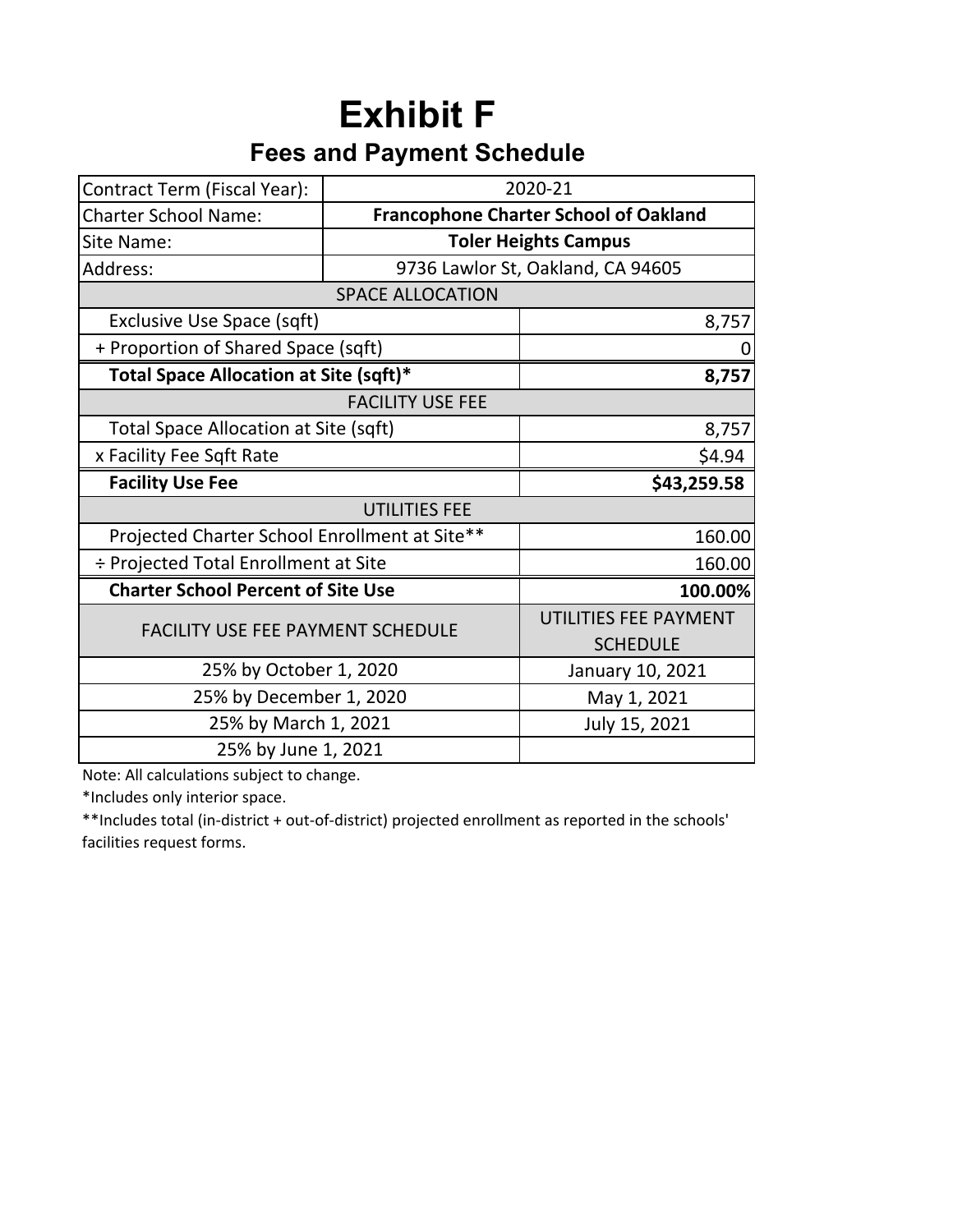# **Exhibit F Fees and Payment Schedule**

| Contract Term (Fiscal Year):                  | 2020-21                 |                                              |  |
|-----------------------------------------------|-------------------------|----------------------------------------------|--|
| <b>Charter School Name:</b>                   |                         | <b>Francophone Charter School of Oakland</b> |  |
| Site Name:                                    |                         | <b>Toler Heights Campus</b>                  |  |
| Address:                                      |                         | 9736 Lawlor St, Oakland, CA 94605            |  |
|                                               | <b>SPACE ALLOCATION</b> |                                              |  |
| Exclusive Use Space (sqft)                    |                         | 8,757                                        |  |
| + Proportion of Shared Space (sqft)           |                         |                                              |  |
| Total Space Allocation at Site (sqft)*        |                         | 8,757                                        |  |
| <b>FACILITY USE FEE</b>                       |                         |                                              |  |
| <b>Total Space Allocation at Site (sqft)</b>  | 8,757                   |                                              |  |
| x Facility Fee Sqft Rate                      | \$4.94                  |                                              |  |
| <b>Facility Use Fee</b>                       | \$43,259.58             |                                              |  |
|                                               |                         |                                              |  |
| Projected Charter School Enrollment at Site** | 160.00                  |                                              |  |
| ÷ Projected Total Enrollment at Site          | 160.00                  |                                              |  |
| <b>Charter School Percent of Site Use</b>     | 100.00%                 |                                              |  |
| <b>FACILITY USE FEE PAYMENT SCHEDULE</b>      |                         | UTILITIES FEE PAYMENT                        |  |
|                                               |                         | <b>SCHEDULE</b>                              |  |
| 25% by October 1, 2020                        |                         | January 10, 2021                             |  |
| 25% by December 1, 2020                       |                         | May 1, 2021                                  |  |
| 25% by March 1, 2021                          |                         | July 15, 2021                                |  |
| 25% by June 1, 2021                           |                         |                                              |  |

Note: All calculations subject to change.

\*Includes only interior space.

\*\*Includes total (in‐district + out‐of‐district) projected enrollment as reported in the schools' facilities request forms.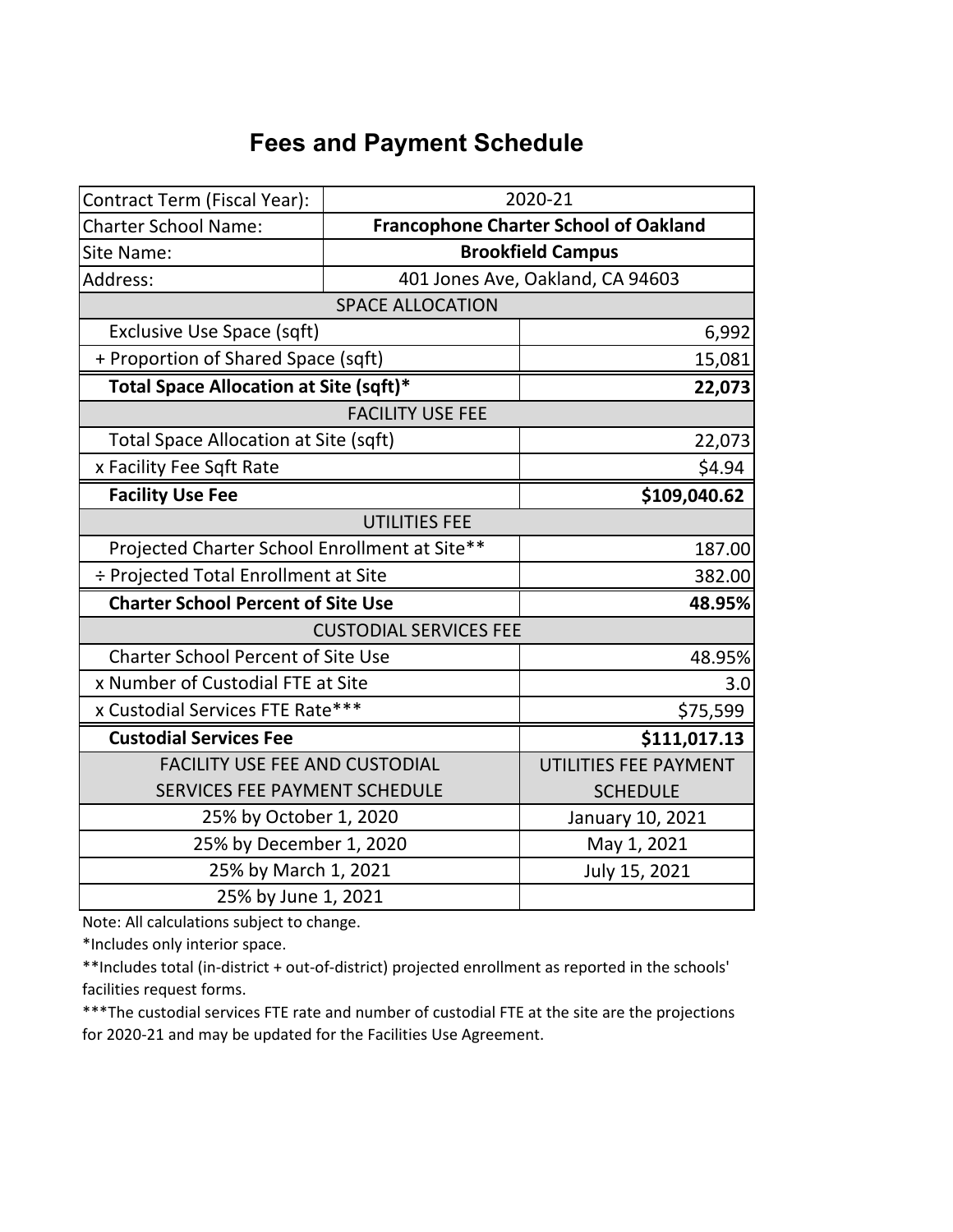# **Fees and Payment Schedule**

| Contract Term (Fiscal Year):                  |                                              | 2020-21                          |  |
|-----------------------------------------------|----------------------------------------------|----------------------------------|--|
| <b>Charter School Name:</b>                   | <b>Francophone Charter School of Oakland</b> |                                  |  |
| Site Name:                                    | <b>Brookfield Campus</b>                     |                                  |  |
| Address:                                      |                                              | 401 Jones Ave, Oakland, CA 94603 |  |
|                                               | <b>SPACE ALLOCATION</b>                      |                                  |  |
| Exclusive Use Space (sqft)                    |                                              | 6,992                            |  |
| + Proportion of Shared Space (sqft)           |                                              | 15,081                           |  |
| Total Space Allocation at Site (sqft)*        |                                              | 22,073                           |  |
|                                               | <b>FACILITY USE FEE</b>                      |                                  |  |
| <b>Total Space Allocation at Site (sqft)</b>  |                                              | 22,073                           |  |
| x Facility Fee Sqft Rate                      |                                              | \$4.94                           |  |
| <b>Facility Use Fee</b>                       |                                              | \$109,040.62                     |  |
| <b>UTILITIES FEE</b>                          |                                              |                                  |  |
| Projected Charter School Enrollment at Site** |                                              | 187.00                           |  |
| ÷ Projected Total Enrollment at Site          |                                              | 382.00                           |  |
| <b>Charter School Percent of Site Use</b>     |                                              | 48.95%                           |  |
| <b>CUSTODIAL SERVICES FEE</b>                 |                                              |                                  |  |
| <b>Charter School Percent of Site Use</b>     |                                              | 48.95%                           |  |
| x Number of Custodial FTE at Site             |                                              | 3.0                              |  |
| x Custodial Services FTE Rate***              |                                              | \$75,599                         |  |
| <b>Custodial Services Fee</b>                 |                                              | \$111,017.13                     |  |
| <b>FACILITY USE FEE AND CUSTODIAL</b>         |                                              | UTILITIES FEE PAYMENT            |  |
| SERVICES FEE PAYMENT SCHEDULE                 |                                              | <b>SCHEDULE</b>                  |  |
| 25% by October 1, 2020                        |                                              | January 10, 2021                 |  |
| 25% by December 1, 2020                       |                                              | May 1, 2021                      |  |
| 25% by March 1, 2021                          |                                              | July 15, 2021                    |  |
| 25% by June 1, 2021                           |                                              |                                  |  |

Note: All calculations subject to change.

\*Includes only interior space.

\*\*Includes total (in-district + out-of-district) projected enrollment as reported in the schools' facilities request forms.

\*\*\*The custodial services FTE rate and number of custodial FTE at the site are the projections for 2020-21 and may be updated for the Facilities Use Agreement.